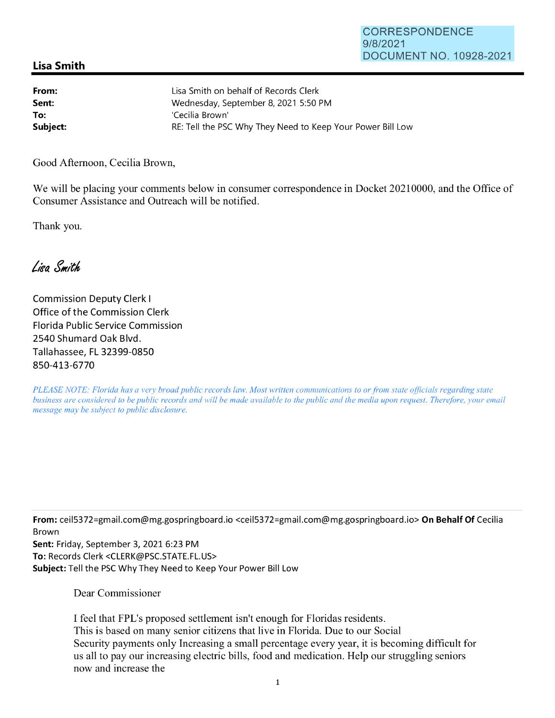## **Lisa Smith**

| From:    | Lisa Smith on behalf of Records Clerk                      |
|----------|------------------------------------------------------------|
| Sent:    | Wednesday, September 8, 2021 5:50 PM                       |
| To:      | 'Cecilia Brown'                                            |
| Subject: | RE: Tell the PSC Why They Need to Keep Your Power Bill Low |

Good Afternoon, Cecilia Brown,

We will be placing your comments below in consumer correspondence in Docket 20210000, and the Office of Consumer Assistance and Outreach will be notified.

Thank you.

Lisa Smith

Commission Deputy Clerk I Office of the Commission Clerk Florida Public Service Commission 2540 Shumard Oak Blvd. Tallahassee, FL 32399-0850 850-413-6770

*PLEASE NOTE: Florida has a very broad public records law. Most written communications to or from state officials regarding state business are considered to be public records and will be made available to the public and the media upon request. Therefore, your email message may be subject to public disclosure.* 

**From:** ceil5372=gmail.com@mg.gospringboard.io <ceil5372=gmail.com@mg.gospringboard.io> **On Behalf Of** Cecilia Brown

**Sent:** Friday, September 3, 2021 6:23 PM **To:** Records Clerk <CLERK@PSC.STATE.FL.US> **Subject:** Tell the PSC Why They Need to Keep Your Power Bill Low

Dear Commissioner

I feel that FPL's proposed settlement isn't enough for Floridas residents. This is based on many senior citizens that live in Florida. Due to our Social Security payments only Increasing a small percentage every year, it is becoming difficult for us all to pay our increasing electric bills, food and medication. Help our struggling seniors now and increase the